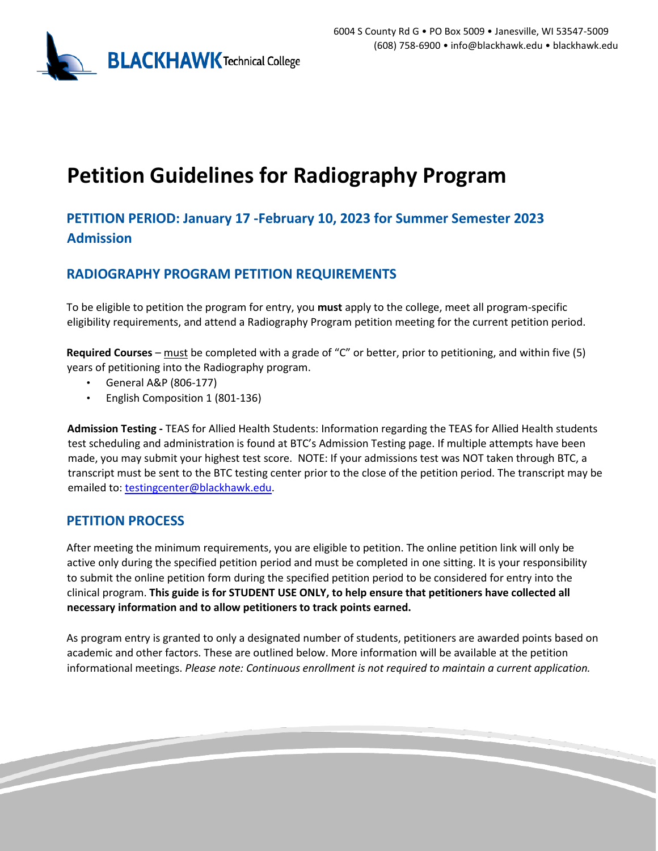

# **Petition Guidelines for Radiography Program**

## **PETITION PERIOD: January 17 -February 10, 2023 for Summer Semester 2023 Admission**

## **RADIOGRAPHY PROGRAM PETITION REQUIREMENTS**

To be eligible to petition the program for entry, you **must** apply to the college, meet all program-specific eligibility requirements, and attend a Radiography Program petition meeting for the current petition period.

**Required Courses** – must be completed with a grade of "C" or better, prior to petitioning, and within five (5) years of petitioning into the Radiography program.

- General A&P (806-177)
- English Composition 1 (801-136)

**Admission Testing -** TEAS for Allied Health Students: Information regarding the TEAS for Allied Health students test scheduling and administration is found at BTC's Admission Testing page. If multiple attempts have been made, you may submit your highest test score. NOTE: If your admissions test was NOT taken through BTC, a transcript must be sent to the BTC testing center prior to the close of the petition period. The transcript may be emailed to: testingcenter@blackhawk.edu.

### **PETITION PROCESS**

After meeting the minimum requirements, you are eligible to petition. The online petition link will only be active only during the specified petition period and must be completed in one sitting. It is your responsibility to submit the online petition form during the specified petition period to be considered for entry into the clinical program. **This guide is for STUDENT USE ONLY, to help ensure that petitioners have collected all necessary information and to allow petitioners to track points earned.**

As program entry is granted to only a designated number of students, petitioners are awarded points based on academic and other factors. These are outlined below. More information will be available at the petition informational meetings. *Please note: Continuous enrollment is not required to maintain a current application.*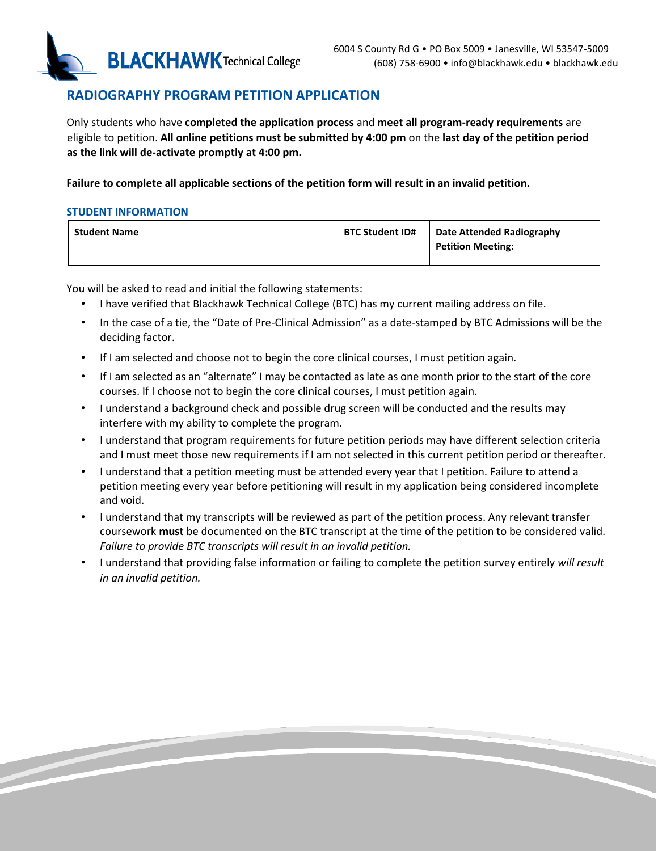

## **RADIOGRAPHY PROGRAM PETITION APPLICATION**

Only students who have **completed the application process** and **meet all program-ready requirements** are eligible to petition. **All online petitions must be submitted by 4:00 pm** on the **last day of the petition period as the link will de-activate promptly at 4:00 pm.** 

**Failure to complete all applicable sections of the petition form will result in an invalid petition.** 

#### **STUDENT INFORMATION**

| <b>Student Name</b> | <b>BTC Student ID#</b> | Date Attended Radiography |
|---------------------|------------------------|---------------------------|
|                     |                        | <b>Petition Meeting:</b>  |
|                     |                        |                           |

You will be asked to read and initial the following statements:

- I have verified that Blackhawk Technical College (BTC) has my current mailing address on file.
- In the case of a tie, the "Date of Pre-Clinical Admission" as a date-stamped by BTC Admissions will be the deciding factor.
- If I am selected and choose not to begin the core clinical courses, I must petition again.
- If I am selected as an "alternate" I may be contacted as late as one month prior to the start of the core courses. If I choose not to begin the core clinical courses, I must petition again.
- I understand a background check and possible drug screen will be conducted and the results may interfere with my ability to complete the program.
- I understand that program requirements for future petition periods may have different selection criteria and I must meet those new requirements if I am not selected in this current petition period or thereafter.
- I understand that a petition meeting must be attended every year that I petition. Failure to attend a petition meeting every year before petitioning will result in my application being considered incomplete and void.
- I understand that my transcripts will be reviewed as part of the petition process. Any relevant transfer coursework **must** be documented on the BTC transcript at the time of the petition to be considered valid. *Failure to provide BTC transcripts will result in an invalid petition.*
- I understand that providing false information or failing to complete the petition survey entirely *will result in an invalid petition.*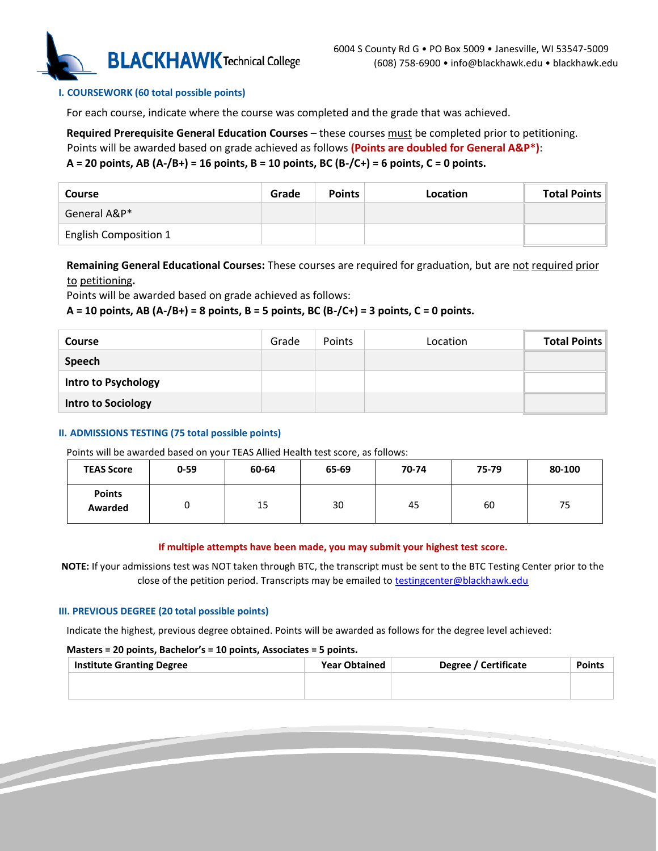

#### **I. COURSEWORK (60 total possible points)**

For each course, indicate where the course was completed and the grade that was achieved.

**Required Prerequisite General Education Courses** – these courses must be completed prior to petitioning.

#### Points will be awarded based on grade achieved as follows **(Points are doubled for General A&P\*)**: **A = 20 points, AB (A-/B+) = 16 points, B = 10 points, BC (B-/C+) = 6 points, C = 0 points.**

| Course                       | Grade | <b>Points</b> | Location | <b>Total Points</b> |
|------------------------------|-------|---------------|----------|---------------------|
| General A&P*                 |       |               |          |                     |
| <b>English Composition 1</b> |       |               |          |                     |

**Remaining General Educational Courses:** These courses are required for graduation, but are not required prior to petitioning**.** 

Points will be awarded based on grade achieved as follows:

#### **A = 10 points, AB (A-/B+) = 8 points, B = 5 points, BC (B-/C+) = 3 points, C = 0 points.**

| <b>Course</b>              | Grade | <b>Points</b> | Location | <b>Total Points</b> |
|----------------------------|-------|---------------|----------|---------------------|
| Speech                     |       |               |          |                     |
| <b>Intro to Psychology</b> |       |               |          |                     |
| <b>Intro to Sociology</b>  |       |               |          |                     |

#### **II. ADMISSIONS TESTING (75 total possible points)**

Points will be awarded based on your TEAS Allied Health test score, as follows:

| <b>TEAS Score</b>        | $0 - 59$ | 60-64 | 65-69 | 70-74 | 75-79 | 80-100 |
|--------------------------|----------|-------|-------|-------|-------|--------|
| <b>Points</b><br>Awarded |          | 15    | 30    | 45    | 60    | 75     |

#### **If multiple attempts have been made, you may submit your highest test score.**

**NOTE:** If your admissions test was NOT taken through BTC, the transcript must be sent to the BTC Testing Center prior to the close of the petition period. Transcripts may be emailed to testingcenter@blackhawk.edu

#### **III. PREVIOUS DEGREE (20 total possible points)**

Indicate the highest, previous degree obtained. Points will be awarded as follows for the degree level achieved:

#### **Masters = 20 points, Bachelor's = 10 points, Associates = 5 points.**

| <b>Year Obtained</b> | <b>Degree / Certificate</b> | <b>Points</b> |
|----------------------|-----------------------------|---------------|
|                      |                             |               |
|                      |                             |               |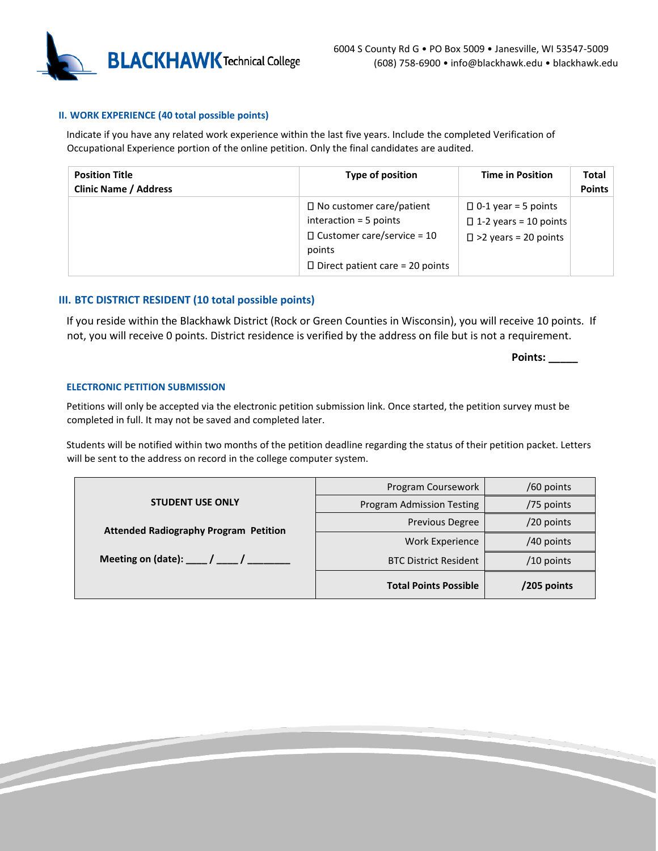

#### **II. WORK EXPERIENCE (40 total possible points)**

Indicate if you have any related work experience within the last five years. Include the completed Verification of Occupational Experience portion of the online petition. Only the final candidates are audited.

| <b>Position Title</b><br><b>Clinic Name / Address</b> | Type of position                                                                                                                                     | <b>Time in Position</b>                                                                      | Total<br><b>Points</b> |
|-------------------------------------------------------|------------------------------------------------------------------------------------------------------------------------------------------------------|----------------------------------------------------------------------------------------------|------------------------|
|                                                       | $\Box$ No customer care/patient<br>interaction $=$ 5 points<br>$\Box$ Customer care/service = 10<br>points<br>$\Box$ Direct patient care = 20 points | $\Box$ 0-1 year = 5 points<br>$\Box$ 1-2 years = 10 points<br>$\square$ >2 years = 20 points |                        |

#### **III. BTC DISTRICT RESIDENT (10 total possible points)**

If you reside within the Blackhawk District (Rock or Green Counties in Wisconsin), you will receive 10 points. If not, you will receive 0 points. District residence is verified by the address on file but is not a requirement.

**Points: \_\_\_\_\_**

#### **ELECTRONIC PETITION SUBMISSION**

Petitions will only be accepted via the electronic petition submission link. Once started, the petition survey must be completed in full. It may not be saved and completed later.

Students will be notified within two months of the petition deadline regarding the status of their petition packet. Letters will be sent to the address on record in the college computer system.

|                                                  | Program Coursework               | /60 points   |
|--------------------------------------------------|----------------------------------|--------------|
| <b>STUDENT USE ONLY</b>                          | <b>Program Admission Testing</b> | /75 points   |
| <b>Attended Radiography Program Petition</b>     | <b>Previous Degree</b>           | /20 points   |
|                                                  | Work Experience                  | /40 points   |
| Meeting on (date): $\frac{1}{2}$ / $\frac{1}{2}$ | <b>BTC District Resident</b>     | $/10$ points |
|                                                  | <b>Total Points Possible</b>     | /205 points  |